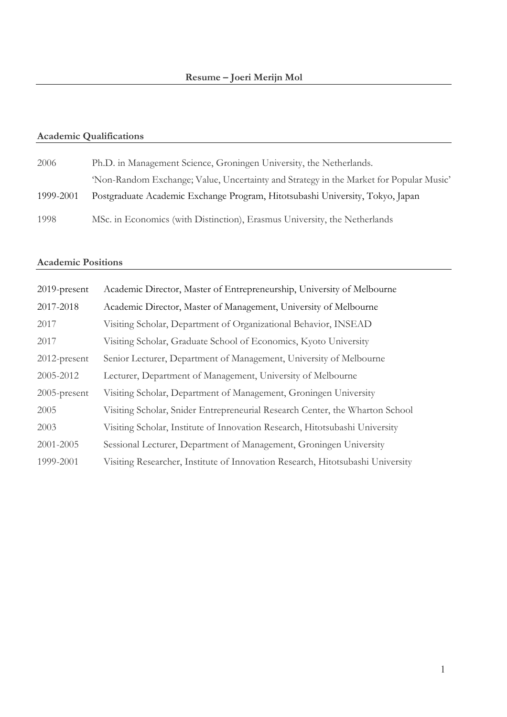# **Academic Qualifications**

| 2006      | Ph.D. in Management Science, Groningen University, the Netherlands.                    |
|-----------|----------------------------------------------------------------------------------------|
|           | 'Non-Random Exchange; Value, Uncertainty and Strategy in the Market for Popular Music' |
| 1999-2001 | Postgraduate Academic Exchange Program, Hitotsubashi University, Tokyo, Japan          |
| 1998      | MSc. in Economics (with Distinction), Erasmus University, the Netherlands              |

### **Academic Positions**

| 2019-present    | Academic Director, Master of Entrepreneurship, University of Melbourne         |
|-----------------|--------------------------------------------------------------------------------|
| 2017-2018       | Academic Director, Master of Management, University of Melbourne               |
| 2017            | Visiting Scholar, Department of Organizational Behavior, INSEAD                |
| 2017            | Visiting Scholar, Graduate School of Economics, Kyoto University               |
| $2012$ -present | Senior Lecturer, Department of Management, University of Melbourne             |
| 2005-2012       | Lecturer, Department of Management, University of Melbourne                    |
| $2005$ -present | Visiting Scholar, Department of Management, Groningen University               |
| 2005            | Visiting Scholar, Snider Entrepreneurial Research Center, the Wharton School   |
| 2003            | Visiting Scholar, Institute of Innovation Research, Hitotsubashi University    |
| 2001-2005       | Sessional Lecturer, Department of Management, Groningen University             |
| 1999-2001       | Visiting Researcher, Institute of Innovation Research, Hitotsubashi University |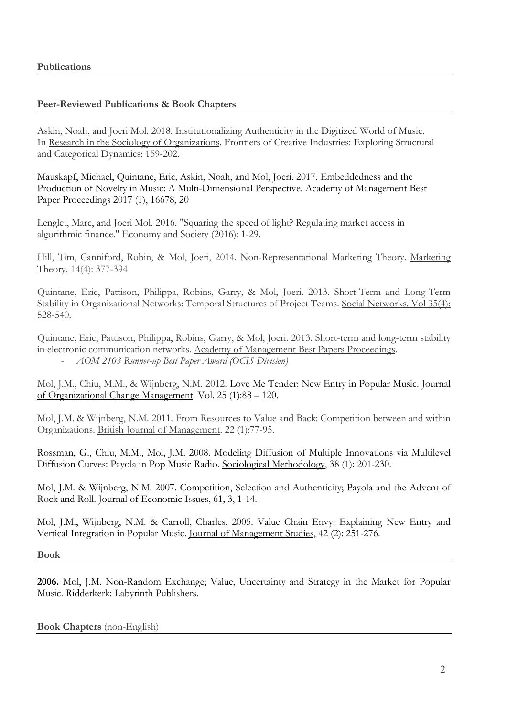# **Peer-Reviewed Publications & Book Chapters**

Askin, Noah, and Joeri Mol. 2018. Institutionalizing Authenticity in the Digitized World of Music. In Research in the Sociology of Organizations. Frontiers of Creative Industries: Exploring Structural and Categorical Dynamics: 159-202.

Mauskapf, Michael, Quintane, Eric, Askin, Noah, and Mol, Joeri. 2017. Embeddedness and the Production of Novelty in Music: A Multi-Dimensional Perspective. Academy of Management Best Paper Proceedings 2017 (1), 16678, 20

Lenglet, Marc, and Joeri Mol. 2016. "Squaring the speed of light? Regulating market access in algorithmic finance." Economy and Society (2016): 1-29.

Hill, Tim, Canniford, Robin, & Mol, Joeri, 2014. Non-Representational Marketing Theory. Marketing Theory. 14(4): 377-394

Quintane, Eric, Pattison, Philippa, Robins, Garry, & Mol, Joeri. 2013. Short-Term and Long-Term Stability in Organizational Networks: Temporal Structures of Project Teams. Social Networks. Vol 35(4): 528-540.

Quintane, Eric, Pattison, Philippa, Robins, Garry, & Mol, Joeri. 2013. Short-term and long-term stability in electronic communication networks. Academy of Management Best Papers Proceedings. - *AOM 2103 Runner-up Best Paper Award (OCIS Division)*

Mol, J.M., Chiu, M.M., & Wijnberg, N.M. 2012. Love Me Tender: New Entry in Popular Music. Journal of Organizational Change Management. Vol. 25 (1):88 – 120.

Mol, J.M. & Wijnberg, N.M. 2011. From Resources to Value and Back: Competition between and within Organizations. British Journal of Management. 22 (1):77-95.

Rossman, G., Chiu, M.M., Mol, J.M. 2008. Modeling Diffusion of Multiple Innovations via Multilevel Diffusion Curves: Payola in Pop Music Radio. Sociological Methodology, 38 (1): 201-230.

Mol, J.M. & Wijnberg, N.M. 2007. Competition, Selection and Authenticity; Payola and the Advent of Rock and Roll. Journal of Economic Issues, 61, 3, 1-14.

Mol, J.M., Wijnberg, N.M. & Carroll, Charles. 2005. Value Chain Envy: Explaining New Entry and Vertical Integration in Popular Music. Journal of Management Studies, 42 (2): 251-276.

**Book**

**2006.** Mol, J.M. Non-Random Exchange; Value, Uncertainty and Strategy in the Market for Popular Music. Ridderkerk: Labyrinth Publishers.

**Book Chapters** (non-English)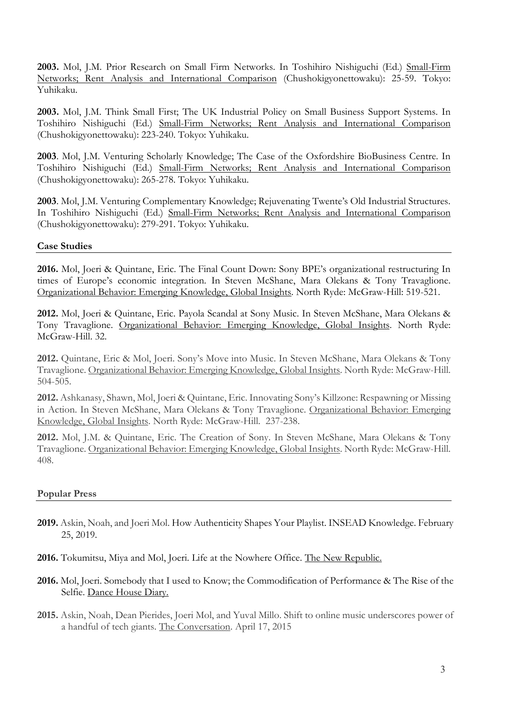**2003.** Mol, J.M. Prior Research on Small Firm Networks. In Toshihiro Nishiguchi (Ed.) Small-Firm Networks; Rent Analysis and International Comparison (Chushokigyonettowaku): 25-59. Tokyo: Yuhikaku.

**2003.** Mol, J.M. Think Small First; The UK Industrial Policy on Small Business Support Systems. In Toshihiro Nishiguchi (Ed.) Small-Firm Networks; Rent Analysis and International Comparison (Chushokigyonettowaku): 223-240. Tokyo: Yuhikaku.

**2003**. Mol, J.M. Venturing Scholarly Knowledge; The Case of the Oxfordshire BioBusiness Centre. In Toshihiro Nishiguchi (Ed.) Small-Firm Networks; Rent Analysis and International Comparison (Chushokigyonettowaku): 265-278. Tokyo: Yuhikaku.

**2003**. Mol, J.M. Venturing Complementary Knowledge; Rejuvenating Twente's Old Industrial Structures. In Toshihiro Nishiguchi (Ed.) Small-Firm Networks; Rent Analysis and International Comparison (Chushokigyonettowaku): 279-291. Tokyo: Yuhikaku.

# **Case Studies**

**2016.** Mol, Joeri & Quintane, Eric. The Final Count Down: Sony BPE's organizational restructuring In times of Europe's economic integration. In Steven McShane, Mara Olekans & Tony Travaglione. Organizational Behavior: Emerging Knowledge, Global Insights. North Ryde: McGraw-Hill: 519-521.

**2012.** Mol, Joeri & Quintane, Eric. Payola Scandal at Sony Music. In Steven McShane, Mara Olekans & Tony Travaglione. Organizational Behavior: Emerging Knowledge, Global Insights. North Ryde: McGraw-Hill. 32.

**2012.** Quintane, Eric & Mol, Joeri. Sony's Move into Music. In Steven McShane, Mara Olekans & Tony Travaglione. Organizational Behavior: Emerging Knowledge, Global Insights. North Ryde: McGraw-Hill. 504-505.

**2012.** Ashkanasy, Shawn, Mol, Joeri & Quintane, Eric. Innovating Sony's Killzone: Respawning or Missing in Action. In Steven McShane, Mara Olekans & Tony Travaglione. Organizational Behavior: Emerging Knowledge, Global Insights. North Ryde: McGraw-Hill. 237-238.

**2012.** Mol, J.M. & Quintane, Eric. The Creation of Sony. In Steven McShane, Mara Olekans & Tony Travaglione. Organizational Behavior: Emerging Knowledge, Global Insights. North Ryde: McGraw-Hill. 408.

# **Popular Press**

- **2019.** Askin, Noah, and Joeri Mol. How Authenticity Shapes Your Playlist. INSEAD Knowledge. February 25, 2019.
- **2016.** Tokumitsu, Miya and Mol, Joeri. Life at the Nowhere Office. The New Republic.
- **2016.** Mol, Joeri. Somebody that I used to Know; the Commodification of Performance & The Rise of the Selfie. Dance House Diary.
- **2015.** Askin, Noah, Dean Pierides, Joeri Mol, and Yuval Millo. Shift to online music underscores power of a handful of tech giants. The Conversation. April 17, 2015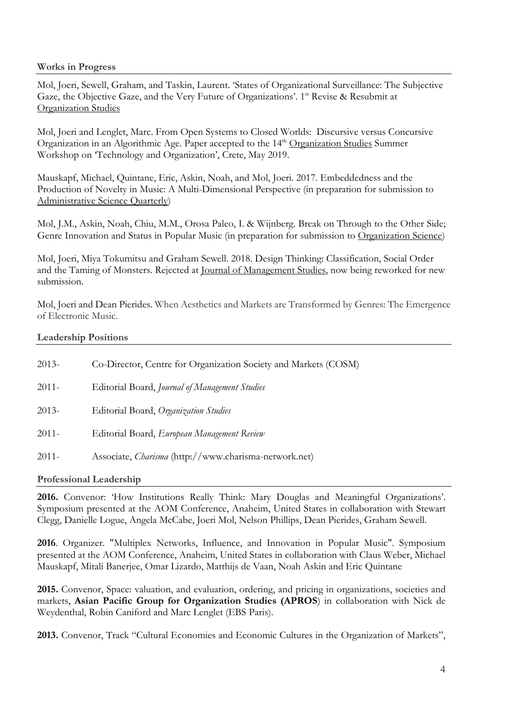# **Works in Progress**

Mol, Joeri, Sewell, Graham, and Taskin, Laurent. 'States of Organizational Surveillance: The Subjective Gaze, the Objective Gaze, and the Very Future of Organizations'. 1<sup>st</sup> Revise & Resubmit at Organization Studies

Mol, Joeri and Lenglet, Marc. From Open Systems to Closed Worlds: Discursive versus Concursive Organization in an Algorithmic Age. Paper accepted to the 14<sup>th</sup> Organization Studies Summer Workshop on 'Technology and Organization', Crete, May 2019.

Mauskapf, Michael, Quintane, Eric, Askin, Noah, and Mol, Joeri. 2017. Embeddedness and the Production of Novelty in Music: A Multi-Dimensional Perspective (in preparation for submission to Administrative Science Quarterly)

Mol, J.M., Askin, Noah, Chiu, M.M., Orosa Paleo, I. & Wijnberg. Break on Through to the Other Side; Genre Innovation and Status in Popular Music (in preparation for submission to Organization Science)

Mol, Joeri, Miya Tokumitsu and Graham Sewell. 2018. Design Thinking: Classification, Social Order and the Taming of Monsters. Rejected at Journal of Management Studies, now being reworked for new submission.

Mol, Joeri and Dean Pierides. When Aesthetics and Markets are Transformed by Genres: The Emergence of Electronic Music.

# **Leadership Positions**

| $2013-$  | Co-Director, Centre for Organization Society and Markets (COSM) |
|----------|-----------------------------------------------------------------|
| $2011 -$ | Editorial Board, Journal of Management Studies                  |
| $2013-$  | Editorial Board, Organization Studies                           |
| $2011 -$ | Editorial Board, European Management Review                     |
| $2011 -$ | Associate, <i>Charisma</i> (http://www.charisma-network.net)    |

# **Professional Leadership**

**2016.** Convenor: 'How Institutions Really Think: Mary Douglas and Meaningful Organizations'. Symposium presented at the AOM Conference, Anaheim, United States in collaboration with Stewart Clegg, Danielle Logue, Angela McCabe, Joeri Mol, Nelson Phillips, Dean Pierides, Graham Sewell.

**2016**. Organizer. "Multiplex Networks, Influence, and Innovation in Popular Music". Symposium presented at the AOM Conference, Anaheim, United States in collaboration with Claus Weber, Michael Mauskapf, Mitali Banerjee, Omar Lizardo, Matthijs de Vaan, Noah Askin and Eric Quintane

**2015.** Convenor, Space: valuation, and evaluation, ordering, and pricing in organizations, societies and markets, **Asian Pacific Group for Organization Studies (APROS**) in collaboration with Nick de Weydenthal, Robin Caniford and Marc Lenglet (EBS Paris).

**2013.** Convenor, Track "Cultural Economies and Economic Cultures in the Organization of Markets",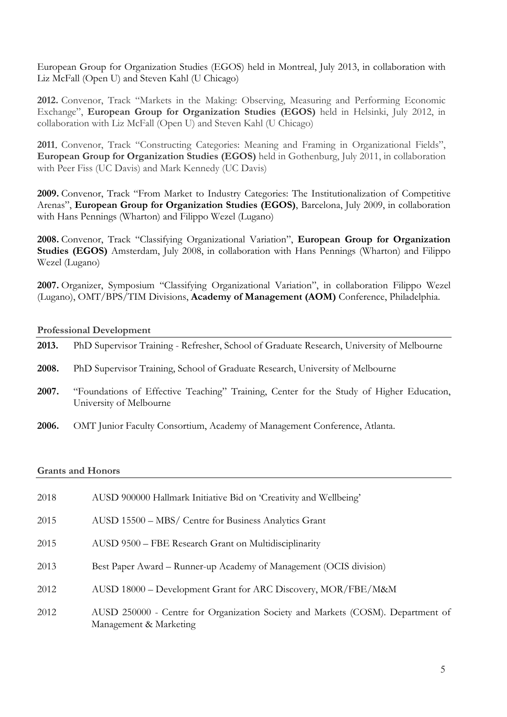European Group for Organization Studies (EGOS) held in Montreal, July 2013, in collaboration with Liz McFall (Open U) and Steven Kahl (U Chicago)

**2012.** Convenor, Track "Markets in the Making: Observing, Measuring and Performing Economic Exchange", **European Group for Organization Studies (EGOS)** held in Helsinki, July 2012, in collaboration with Liz McFall (Open U) and Steven Kahl (U Chicago)

**2011**. Convenor, Track "Constructing Categories: Meaning and Framing in Organizational Fields", **European Group for Organization Studies (EGOS)** held in Gothenburg, July 2011, in collaboration with Peer Fiss (UC Davis) and Mark Kennedy (UC Davis)

**2009.** Convenor, Track "From Market to Industry Categories: The Institutionalization of Competitive Arenas", **European Group for Organization Studies (EGOS)**, Barcelona, July 2009, in collaboration with Hans Pennings (Wharton) and Filippo Wezel (Lugano)

**2008.** Convenor, Track "Classifying Organizational Variation", **European Group for Organization Studies (EGOS)** Amsterdam, July 2008, in collaboration with Hans Pennings (Wharton) and Filippo Wezel (Lugano)

**2007.** Organizer, Symposium "Classifying Organizational Variation", in collaboration Filippo Wezel (Lugano), OMT/BPS/TIM Divisions, **Academy of Management (AOM)** Conference, Philadelphia.

#### **Professional Development**

| 2013. | PhD Supervisor Training - Refresher, School of Graduate Research, University of Melbourne                          |
|-------|--------------------------------------------------------------------------------------------------------------------|
| 2008. | PhD Supervisor Training, School of Graduate Research, University of Melbourne                                      |
| 2007. | "Foundations of Effective Teaching" Training, Center for the Study of Higher Education,<br>University of Melbourne |
| 2006. | OMT Junior Faculty Consortium, Academy of Management Conference, Atlanta.                                          |

#### **Grants and Honors**

| 2018 | AUSD 900000 Hallmark Initiative Bid on 'Creativity and Wellbeing'                                         |
|------|-----------------------------------------------------------------------------------------------------------|
| 2015 | AUSD 15500 – MBS/ Centre for Business Analytics Grant                                                     |
| 2015 | AUSD 9500 – FBE Research Grant on Multidisciplinarity                                                     |
| 2013 | Best Paper Award – Runner-up Academy of Management (OCIS division)                                        |
| 2012 | AUSD 18000 – Development Grant for ARC Discovery, MOR/FBE/M&M                                             |
| 2012 | AUSD 250000 - Centre for Organization Society and Markets (COSM). Department of<br>Management & Marketing |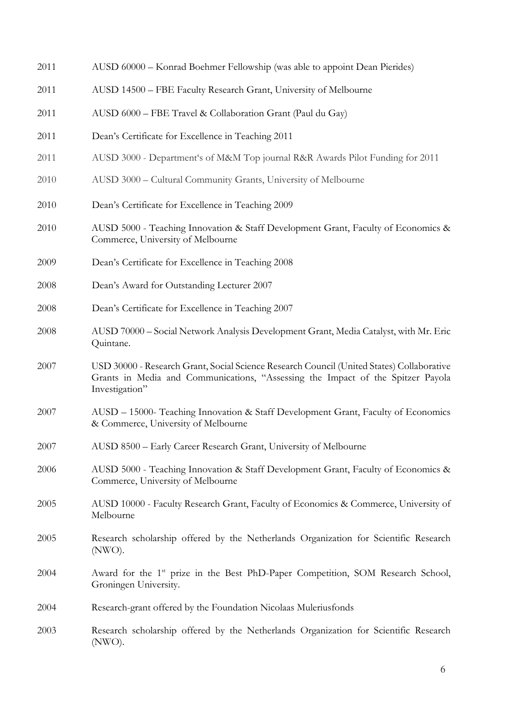| 2011 | AUSD 60000 - Konrad Boehmer Fellowship (was able to appoint Dean Pierides)                                                                                                                     |
|------|------------------------------------------------------------------------------------------------------------------------------------------------------------------------------------------------|
| 2011 | AUSD 14500 - FBE Faculty Research Grant, University of Melbourne                                                                                                                               |
| 2011 | AUSD 6000 - FBE Travel & Collaboration Grant (Paul du Gay)                                                                                                                                     |
| 2011 | Dean's Certificate for Excellence in Teaching 2011                                                                                                                                             |
| 2011 | AUSD 3000 - Department's of M&M Top journal R&R Awards Pilot Funding for 2011                                                                                                                  |
| 2010 | AUSD 3000 - Cultural Community Grants, University of Melbourne                                                                                                                                 |
| 2010 | Dean's Certificate for Excellence in Teaching 2009                                                                                                                                             |
| 2010 | AUSD 5000 - Teaching Innovation & Staff Development Grant, Faculty of Economics &<br>Commerce, University of Melbourne                                                                         |
| 2009 | Dean's Certificate for Excellence in Teaching 2008                                                                                                                                             |
| 2008 | Dean's Award for Outstanding Lecturer 2007                                                                                                                                                     |
| 2008 | Dean's Certificate for Excellence in Teaching 2007                                                                                                                                             |
| 2008 | AUSD 70000 - Social Network Analysis Development Grant, Media Catalyst, with Mr. Eric<br>Quintane.                                                                                             |
| 2007 | USD 30000 - Research Grant, Social Science Research Council (United States) Collaborative<br>Grants in Media and Communications, "Assessing the Impact of the Spitzer Payola<br>Investigation" |
| 2007 | AUSD - 15000- Teaching Innovation & Staff Development Grant, Faculty of Economics<br>& Commerce, University of Melbourne                                                                       |
| 2007 | AUSD 8500 - Early Career Research Grant, University of Melbourne                                                                                                                               |
| 2006 | AUSD 5000 - Teaching Innovation & Staff Development Grant, Faculty of Economics &<br>Commerce, University of Melbourne                                                                         |
| 2005 | AUSD 10000 - Faculty Research Grant, Faculty of Economics & Commerce, University of<br>Melbourne                                                                                               |
| 2005 | Research scholarship offered by the Netherlands Organization for Scientific Research<br>(NWO).                                                                                                 |
| 2004 | Award for the 1 <sup>st</sup> prize in the Best PhD-Paper Competition, SOM Research School,<br>Groningen University.                                                                           |
| 2004 | Research-grant offered by the Foundation Nicolaas Muleriusfonds                                                                                                                                |
| 2003 | Research scholarship offered by the Netherlands Organization for Scientific Research<br>(NWO).                                                                                                 |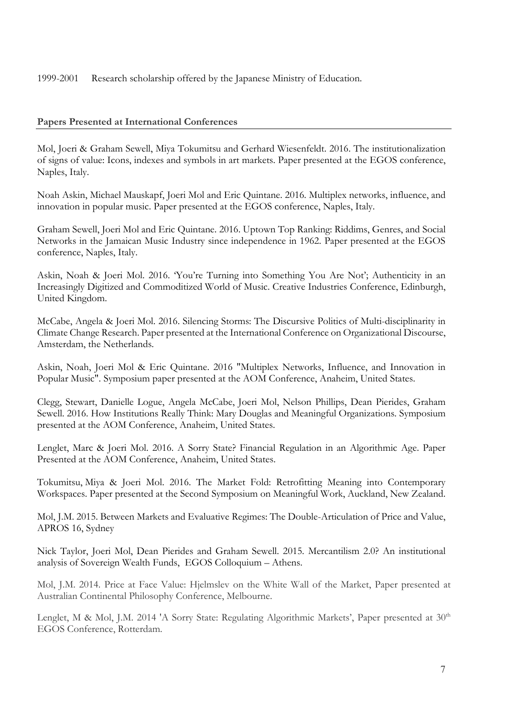1999-2001 Research scholarship offered by the Japanese Ministry of Education.

# **Papers Presented at International Conferences**

Mol, Joeri & Graham Sewell, Miya Tokumitsu and Gerhard Wiesenfeldt. 2016. The institutionalization of signs of value: Icons, indexes and symbols in art markets. Paper presented at the EGOS conference, Naples, Italy.

Noah Askin, Michael Mauskapf, Joeri Mol and Eric Quintane. 2016. Multiplex networks, influence, and innovation in popular music. Paper presented at the EGOS conference, Naples, Italy.

Graham Sewell, Joeri Mol and Eric Quintane. 2016. Uptown Top Ranking: Riddims, Genres, and Social Networks in the Jamaican Music Industry since independence in 1962. Paper presented at the EGOS conference, Naples, Italy.

Askin, Noah & Joeri Mol. 2016. 'You're Turning into Something You Are Not'; Authenticity in an Increasingly Digitized and Commoditized World of Music. Creative Industries Conference, Edinburgh, United Kingdom.

McCabe, Angela & Joeri Mol. 2016. Silencing Storms: The Discursive Politics of Multi-disciplinarity in Climate Change Research. Paper presented at the International Conference on Organizational Discourse, Amsterdam, the Netherlands.

Askin, Noah, Joeri Mol & Eric Quintane. 2016 "Multiplex Networks, Influence, and Innovation in Popular Music". Symposium paper presented at the AOM Conference, Anaheim, United States.

Clegg, Stewart, Danielle Logue, Angela McCabe, Joeri Mol, Nelson Phillips, Dean Pierides, Graham Sewell. 2016. How Institutions Really Think: Mary Douglas and Meaningful Organizations. Symposium presented at the AOM Conference, Anaheim, United States.

Lenglet, Marc & Joeri Mol. 2016. A Sorry State? Financial Regulation in an Algorithmic Age. Paper Presented at the AOM Conference, Anaheim, United States.

Tokumitsu, Miya & Joeri Mol. 2016. The Market Fold: Retrofitting Meaning into Contemporary Workspaces. Paper presented at the Second Symposium on Meaningful Work, Auckland, New Zealand.

Mol, J.M. 2015. Between Markets and Evaluative Regimes: The Double-Articulation of Price and Value, APROS 16, Sydney

Nick Taylor, Joeri Mol, Dean Pierides and Graham Sewell. 2015. Mercantilism 2.0? An institutional analysis of Sovereign Wealth Funds, EGOS Colloquium – Athens.

Mol, J.M. 2014. Price at Face Value: Hjelmslev on the White Wall of the Market, Paper presented at Australian Continental Philosophy Conference, Melbourne.

Lenglet, M & Mol, J.M. 2014 'A Sorry State: Regulating Algorithmic Markets', Paper presented at 30<sup>th</sup> EGOS Conference, Rotterdam.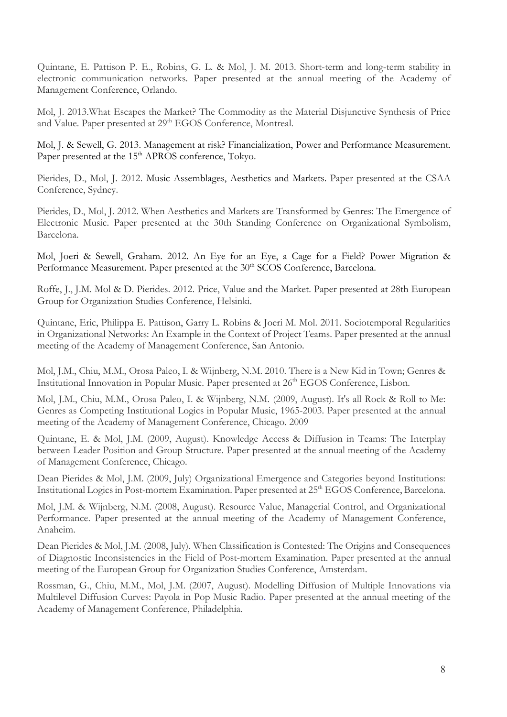Quintane, E. Pattison P. E., Robins, G. L. & Mol, J. M. 2013. Short-term and long-term stability in electronic communication networks. Paper presented at the annual meeting of the Academy of Management Conference, Orlando.

Mol, J. 2013.What Escapes the Market? The Commodity as the Material Disjunctive Synthesis of Price and Value. Paper presented at 29<sup>th</sup> EGOS Conference, Montreal.

Mol, J. & Sewell, G. 2013. Management at risk? Financialization, Power and Performance Measurement. Paper presented at the 15<sup>th</sup> APROS conference, Tokyo.

Pierides, D., Mol, J. 2012. Music Assemblages, Aesthetics and Markets. Paper presented at the CSAA Conference, Sydney.

Pierides, D., Mol, J. 2012. When Aesthetics and Markets are Transformed by Genres: The Emergence of Electronic Music. Paper presented at the 30th Standing Conference on Organizational Symbolism, Barcelona.

Mol, Joeri & Sewell, Graham. 2012. An Eye for an Eye, a Cage for a Field? Power Migration & Performance Measurement. Paper presented at the 30<sup>th</sup> SCOS Conference, Barcelona.

Roffe, J., J.M. Mol & D. Pierides. 2012. Price, Value and the Market. Paper presented at 28th European Group for Organization Studies Conference, Helsinki.

Quintane, Eric, Philippa E. Pattison, Garry L. Robins & Joeri M. Mol. 2011. Sociotemporal Regularities in Organizational Networks: An Example in the Context of Project Teams. Paper presented at the annual meeting of the Academy of Management Conference, San Antonio.

Mol, J.M., Chiu, M.M., Orosa Paleo, I. & Wijnberg, N.M. 2010. There is a New Kid in Town; Genres & Institutional Innovation in Popular Music. Paper presented at 26<sup>th</sup> EGOS Conference, Lisbon.

Mol, J.M., Chiu, M.M., Orosa Paleo, I. & Wijnberg, N.M. (2009, August). It's all Rock & Roll to Me: Genres as Competing Institutional Logics in Popular Music, 1965-2003. Paper presented at the annual meeting of the Academy of Management Conference, Chicago. 2009

Quintane, E. & Mol, J.M. (2009, August). Knowledge Access & Diffusion in Teams: The Interplay between Leader Position and Group Structure. Paper presented at the annual meeting of the Academy of Management Conference, Chicago.

Dean Pierides & Mol, J.M. (2009, July) Organizational Emergence and Categories beyond Institutions: Institutional Logics in Post-mortem Examination. Paper presented at 25<sup>th</sup> EGOS Conference, Barcelona.

Mol, J.M. & Wijnberg, N.M. (2008, August). Resource Value, Managerial Control, and Organizational Performance. Paper presented at the annual meeting of the Academy of Management Conference, Anaheim.

Dean Pierides & Mol, J.M. (2008, July). When Classification is Contested: The Origins and Consequences of Diagnostic Inconsistencies in the Field of Post-mortem Examination. Paper presented at the annual meeting of the European Group for Organization Studies Conference, Amsterdam.

Rossman, G., Chiu, M.M., Mol, J.M. (2007, August). Modelling Diffusion of Multiple Innovations via Multilevel Diffusion Curves: Payola in Pop Music Radio. Paper presented at the annual meeting of the Academy of Management Conference, Philadelphia.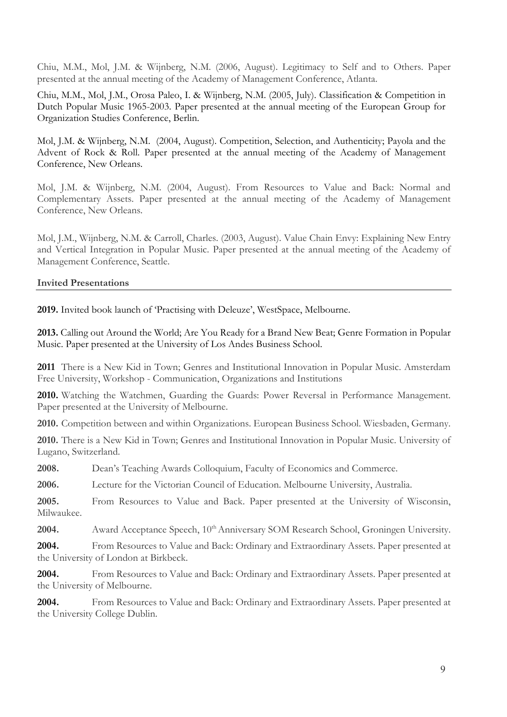Chiu, M.M., Mol, J.M. & Wijnberg, N.M. (2006, August). Legitimacy to Self and to Others. Paper presented at the annual meeting of the Academy of Management Conference, Atlanta.

Chiu, M.M., Mol, J.M., Orosa Paleo, I. & Wijnberg, N.M. (2005, July). Classification & Competition in Dutch Popular Music 1965-2003. Paper presented at the annual meeting of the European Group for Organization Studies Conference, Berlin.

Mol, J.M. & Wijnberg, N.M. (2004, August). Competition, Selection, and Authenticity; Payola and the Advent of Rock & Roll. Paper presented at the annual meeting of the Academy of Management Conference, New Orleans.

Mol, J.M. & Wijnberg, N.M. (2004, August). From Resources to Value and Back: Normal and Complementary Assets. Paper presented at the annual meeting of the Academy of Management Conference, New Orleans.

Mol, J.M., Wijnberg, N.M. & Carroll, Charles. (2003, August). Value Chain Envy: Explaining New Entry and Vertical Integration in Popular Music. Paper presented at the annual meeting of the Academy of Management Conference, Seattle.

# **Invited Presentations**

**2019.** Invited book launch of 'Practising with Deleuze', WestSpace, Melbourne.

**2013.** Calling out Around the World; Are You Ready for a Brand New Beat; Genre Formation in Popular Music. Paper presented at the University of Los Andes Business School.

**2011** There is a New Kid in Town; Genres and Institutional Innovation in Popular Music. Amsterdam Free University, Workshop - Communication, Organizations and Institutions

**2010.** Watching the Watchmen, Guarding the Guards: Power Reversal in Performance Management. Paper presented at the University of Melbourne.

**2010.** Competition between and within Organizations. European Business School. Wiesbaden, Germany.

**2010.** There is a New Kid in Town; Genres and Institutional Innovation in Popular Music. University of Lugano, Switzerland.

**2008.** Dean's Teaching Awards Colloquium, Faculty of Economics and Commerce.

**2006.** Lecture for the Victorian Council of Education. Melbourne University, Australia.

**2005.** From Resources to Value and Back. Paper presented at the University of Wisconsin, Milwaukee.

**2004.** Award Acceptance Speech, 10<sup>th</sup> Anniversary SOM Research School, Groningen University.

**2004.** From Resources to Value and Back: Ordinary and Extraordinary Assets. Paper presented at the University of London at Birkbeck.

**2004.** From Resources to Value and Back: Ordinary and Extraordinary Assets. Paper presented at the University of Melbourne.

2004. From Resources to Value and Back: Ordinary and Extraordinary Assets. Paper presented at the University College Dublin.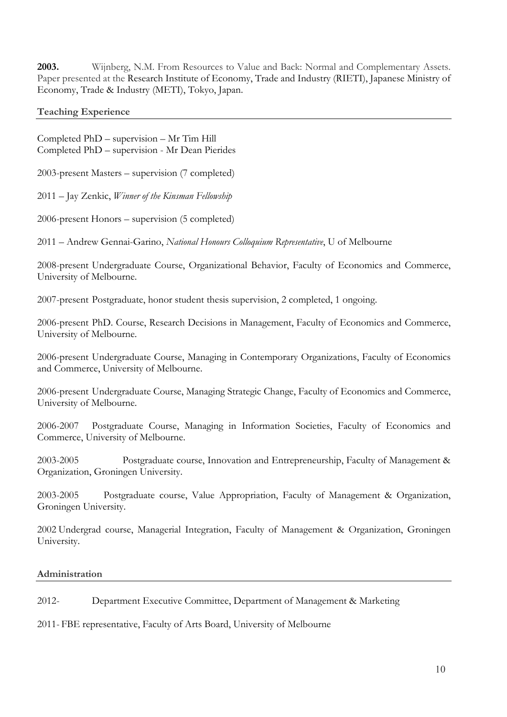**2003.** Wijnberg, N.M. From Resources to Value and Back: Normal and Complementary Assets. Paper presented at the Research Institute of Economy, Trade and Industry (RIETI), Japanese Ministry of Economy, Trade & Industry (METI), Tokyo, Japan.

**Teaching Experience**

Completed PhD – supervision – Mr Tim Hill Completed PhD – supervision - Mr Dean Pierides

2003-present Masters – supervision (7 completed)

2011 – Jay Zenkic, *Winner of the Kinsman Fellowship*

2006-present Honors – supervision (5 completed)

2011 – Andrew Gennai-Garino, *National Honours Colloquium Representative*, U of Melbourne

2008-present Undergraduate Course, Organizational Behavior, Faculty of Economics and Commerce, University of Melbourne.

2007-present Postgraduate, honor student thesis supervision, 2 completed, 1 ongoing.

2006-present PhD. Course, Research Decisions in Management, Faculty of Economics and Commerce, University of Melbourne.

2006-present Undergraduate Course, Managing in Contemporary Organizations, Faculty of Economics and Commerce, University of Melbourne.

2006-present Undergraduate Course, Managing Strategic Change, Faculty of Economics and Commerce, University of Melbourne.

2006-2007 Postgraduate Course, Managing in Information Societies, Faculty of Economics and Commerce, University of Melbourne.

2003-2005 Postgraduate course, Innovation and Entrepreneurship, Faculty of Management & Organization, Groningen University.

2003-2005 Postgraduate course, Value Appropriation, Faculty of Management & Organization, Groningen University.

2002 Undergrad course, Managerial Integration, Faculty of Management & Organization, Groningen University.

# **Administration**

2012- Department Executive Committee, Department of Management & Marketing

2011- FBE representative, Faculty of Arts Board, University of Melbourne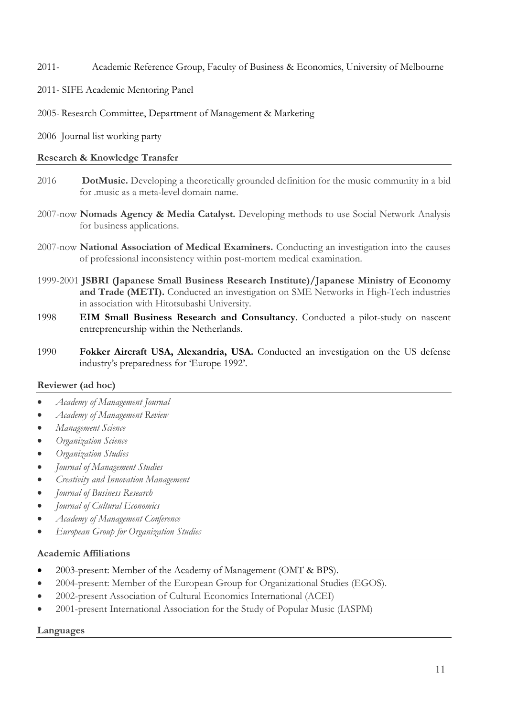2011- Academic Reference Group, Faculty of Business & Economics, University of Melbourne

2011- SIFE Academic Mentoring Panel

2005- Research Committee, Department of Management & Marketing

2006 Journal list working party

# **Research & Knowledge Transfer**

- 2016 **DotMusic.** Developing a theoretically grounded definition for the music community in a bid for .music as a meta-level domain name.
- 2007-now **Nomads Agency & Media Catalyst.** Developing methods to use Social Network Analysis for business applications.
- 2007-now **National Association of Medical Examiners.** Conducting an investigation into the causes of professional inconsistency within post-mortem medical examination.
- 1999-2001 **JSBRI (Japanese Small Business Research Institute)/Japanese Ministry of Economy and Trade (METI).** Conducted an investigation on SME Networks in High-Tech industries in association with Hitotsubashi University.
- 1998 **EIM Small Business Research and Consultancy**. Conducted a pilot-study on nascent entrepreneurship within the Netherlands.
- 1990 **Fokker Aircraft USA, Alexandria, USA.** Conducted an investigation on the US defense industry's preparedness for 'Europe 1992'.

# **Reviewer (ad hoc)**

- *Academy of Management Journal*
- *Academy of Management Review*
- *Management Science*
- *Organization Science*
- *Organization Studies*
- *Journal of Management Studies*
- *Creativity and Innovation Management*
- *Journal of Business Research*
- *Journal of Cultural Economics*
- *Academy of Management Conference*
- *European Group for Organization Studies*

# **Academic Affiliations**

- 2003-present: Member of the Academy of Management (OMT & BPS).
- 2004-present: Member of the European Group for Organizational Studies (EGOS).
- 2002-present Association of Cultural Economics International (ACEI)
- 2001-present International Association for the Study of Popular Music (IASPM)

# **Languages**